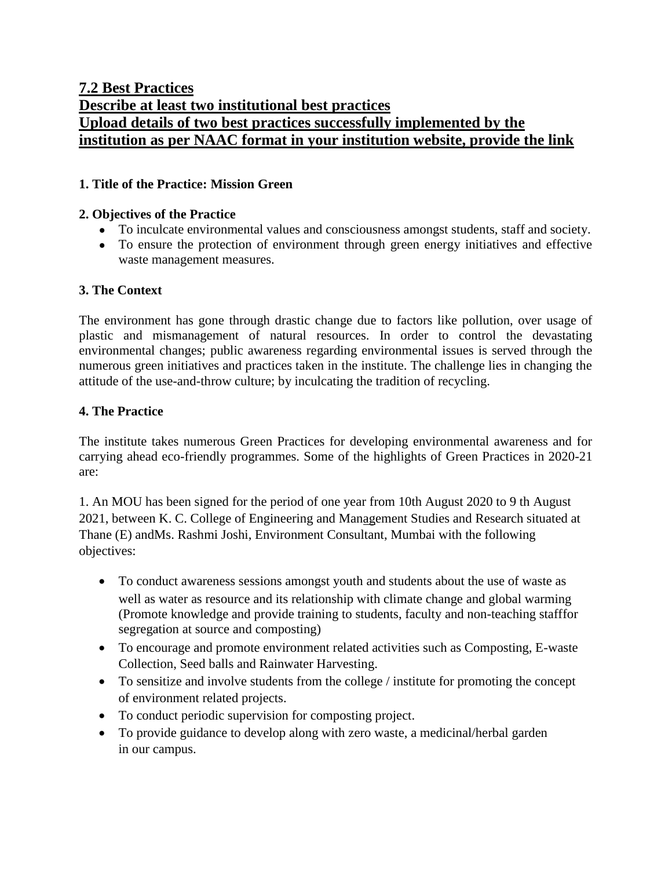# **7.2 Best Practices Describe at least two institutional best practices Upload details of two best practices successfully implemented by the institution as per NAAC format in your institution website, provide the link**

# **1. Title of the Practice: Mission Green**

### **2. Objectives of the Practice**

- To inculcate environmental values and consciousness amongst students, staff and society.
- To ensure the protection of environment through green energy initiatives and effective waste management measures.

### **3. The Context**

The environment has gone through drastic change due to factors like pollution, over usage of plastic and mismanagement of natural resources. In order to control the devastating environmental changes; public awareness regarding environmental issues is served through the numerous green initiatives and practices taken in the institute. The challenge lies in changing the attitude of the use-and-throw culture; by inculcating the tradition of recycling.

### **4. The Practice**

The institute takes numerous Green Practices for developing environmental awareness and for carrying ahead eco-friendly programmes. Some of the highlights of Green Practices in 2020-21 are:

1. An MOU has been signed for the period of one year from 10th August 2020 to 9 th August 2021, between K. C. College of Engineering and Management Studies and Research situated at Thane (E) andMs. Rashmi Joshi, Environment Consultant, Mumbai with the following objectives:

- To conduct awareness sessions amongst youth and students about the use of waste as well as water as resource and its relationship with climate change and global warming (Promote knowledge and provide training to students, faculty and non-teaching stafffor segregation at source and composting)
- To encourage and promote environment related activities such as Composting, E-waste Collection, Seed balls and Rainwater Harvesting.
- To sensitize and involve students from the college / institute for promoting the concept of environment related projects.
- To conduct periodic supervision for composting project.
- To provide guidance to develop along with zero waste, a medicinal/herbal garden in our campus.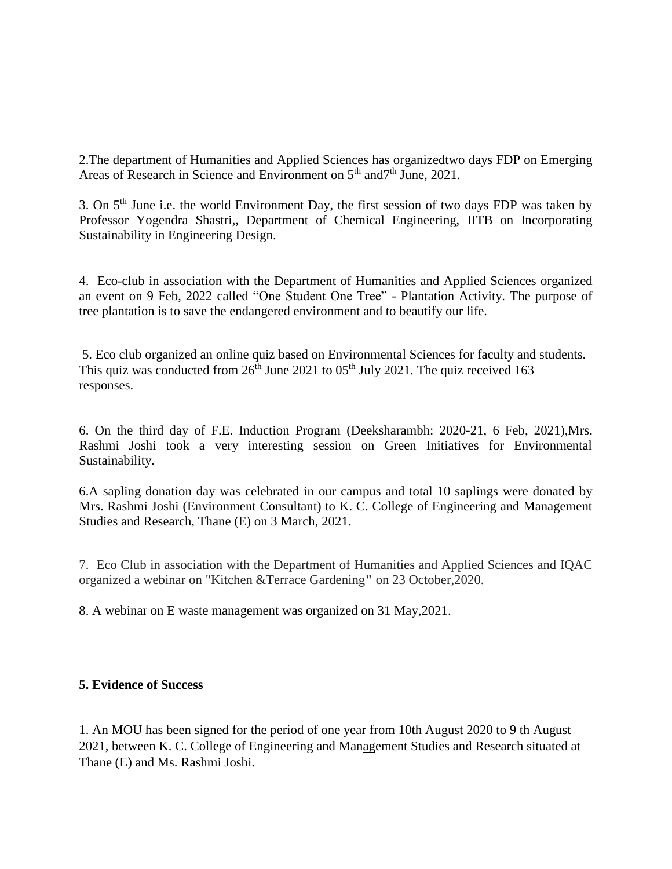2.The department of Humanities and Applied Sciences has organizedtwo days FDP on Emerging Areas of Research in Science and Environment on  $5<sup>th</sup>$  and  $7<sup>th</sup>$  June, 2021.

3. On  $5<sup>th</sup>$  June i.e. the world Environment Day, the first session of two days FDP was taken by Professor Yogendra Shastri,, Department of Chemical Engineering, IITB on Incorporating Sustainability in Engineering Design.

4. Eco-club in association with the Department of Humanities and Applied Sciences organized an event on 9 Feb, 2022 called "One Student One Tree" - Plantation Activity. The purpose of tree plantation is to save the endangered environment and to beautify our life.

5. Eco club organized an online quiz based on Environmental Sciences for faculty and students. This quiz was conducted from  $26<sup>th</sup>$  June 2021 to 05<sup>th</sup> July 2021. The quiz received 163 responses.

6. On the third day of F.E. Induction Program (Deeksharambh: 2020-21, 6 Feb, 2021),Mrs. Rashmi Joshi took a very interesting session on Green Initiatives for Environmental Sustainability.

6.A sapling donation day was celebrated in our campus and total 10 saplings were donated by Mrs. Rashmi Joshi (Environment Consultant) to K. C. College of Engineering and Management Studies and Research, Thane (E) on 3 March, 2021.

7. Eco Club in association with the Department of Humanities and Applied Sciences and IQAC organized a webinar on "Kitchen &Terrace Gardening**"** on 23 October,2020.

8. A webinar on E waste management was organized on 31 May,2021.

## **5. Evidence of Success**

1. An MOU has been signed for the period of one year from 10th August 2020 to 9 th August 2021, between K. C. College of Engineering and Management Studies and Research situated at Thane (E) and Ms. Rashmi Joshi.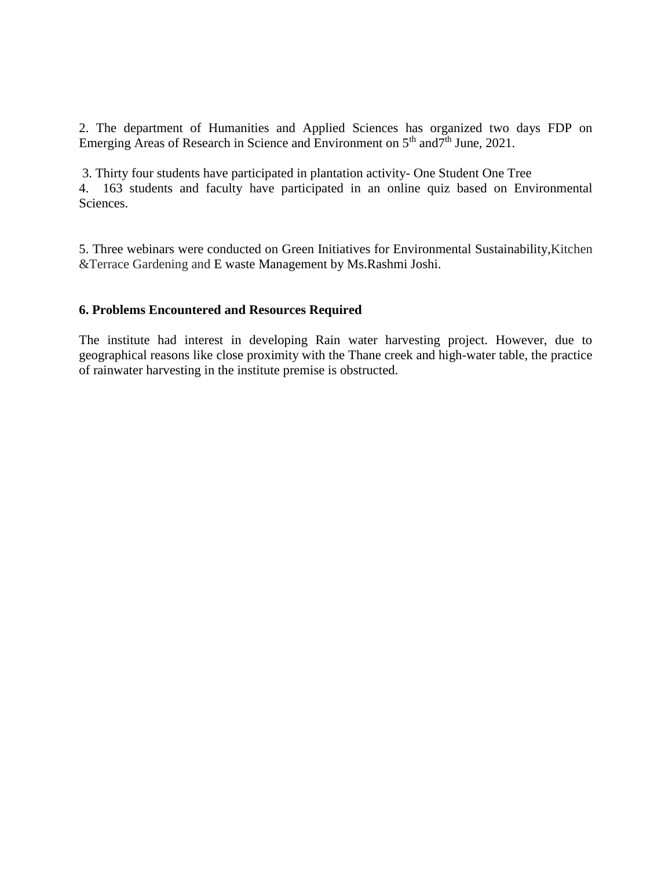2. The department of Humanities and Applied Sciences has organized two days FDP on Emerging Areas of Research in Science and Environment on 5<sup>th</sup> and<sup>7th</sup> June, 2021.

3. Thirty four students have participated in plantation activity- One Student One Tree 4. 163 students and faculty have participated in an online quiz based on Environmental Sciences.

5. Three webinars were conducted on Green Initiatives for Environmental Sustainability,Kitchen &Terrace Gardening and E waste Management by Ms.Rashmi Joshi.

#### **6. Problems Encountered and Resources Required**

The institute had interest in developing Rain water harvesting project. However, due to geographical reasons like close proximity with the Thane creek and high-water table, the practice of rainwater harvesting in the institute premise is obstructed.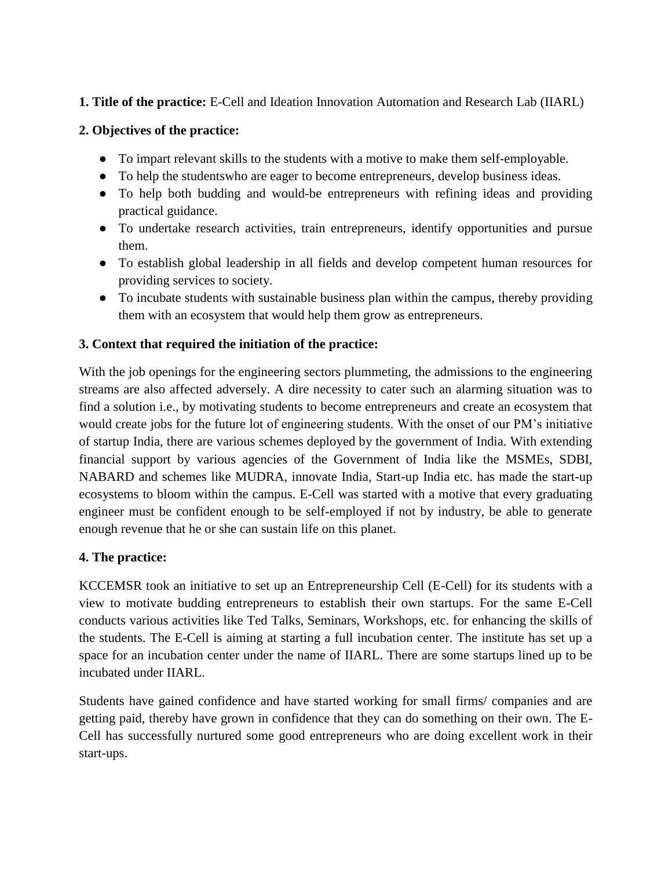# **1. Title of the practice:** E-Cell and Ideation Innovation Automation and Research Lab (IIARL)

# **2. Objectives of the practice:**

- To impart relevant skills to the students with a motive to make them self-employable.
- To help the studentswho are eager to become entrepreneurs, develop business ideas.
- To help both budding and would-be entrepreneurs with refining ideas and providing practical guidance.
- To undertake research activities, train entrepreneurs, identify opportunities and pursue them.
- To establish global leadership in all fields and develop competent human resources for providing services to society.
- To incubate students with sustainable business plan within the campus, thereby providing them with an ecosystem that would help them grow as entrepreneurs.

# **3. Context that required the initiation of the practice:**

With the job openings for the engineering sectors plummeting, the admissions to the engineering streams are also affected adversely. A dire necessity to cater such an alarming situation was to find a solution i.e., by motivating students to become entrepreneurs and create an ecosystem that would create jobs for the future lot of engineering students. With the onset of our PM's initiative of startup India, there are various schemes deployed by the government of India. With extending financial support by various agencies of the Government of India like the MSMEs, SDBI, NABARD and schemes like MUDRA, innovate India, Start-up India etc. has made the start-up ecosystems to bloom within the campus. E-Cell was started with a motive that every graduating engineer must be confident enough to be self-employed if not by industry, be able to generate enough revenue that he or she can sustain life on this planet.

## **4. The practice:**

KCCEMSR took an initiative to set up an Entrepreneurship Cell (E-Cell) for its students with a view to motivate budding entrepreneurs to establish their own startups. For the same E-Cell conducts various activities like Ted Talks, Seminars, Workshops, etc. for enhancing the skills of the students. The E-Cell is aiming at starting a full incubation center. The institute has set up a space for an incubation center under the name of IIARL. There are some startups lined up to be incubated under IIARL.

Students have gained confidence and have started working for small firms/ companies and are getting paid, thereby have grown in confidence that they can do something on their own. The E-Cell has successfully nurtured some good entrepreneurs who are doing excellent work in their start-ups.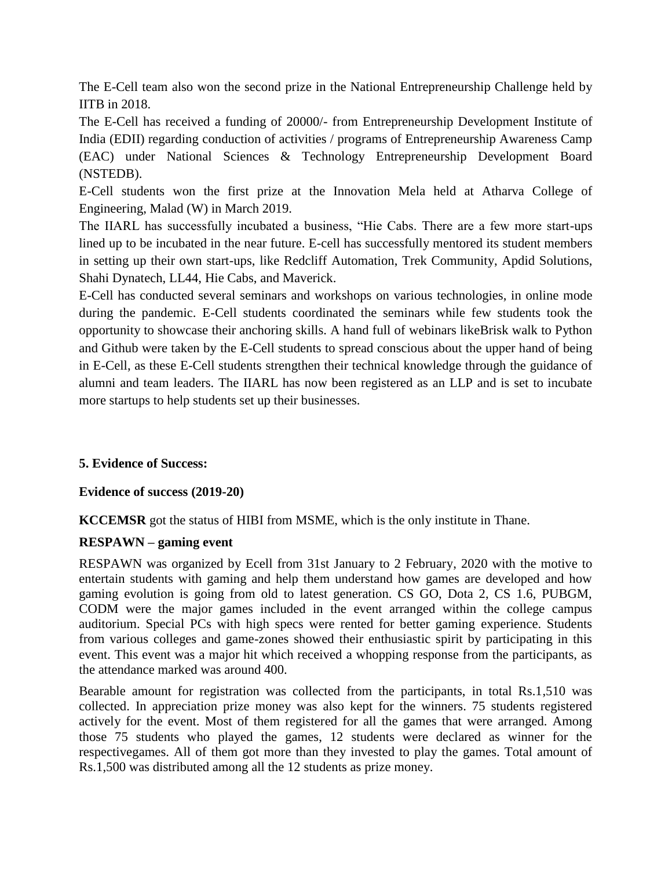The E-Cell team also won the second prize in the National Entrepreneurship Challenge held by IITB in 2018.

The E-Cell has received a funding of 20000/- from Entrepreneurship Development Institute of India (EDII) regarding conduction of activities / programs of Entrepreneurship Awareness Camp (EAC) under National Sciences & Technology Entrepreneurship Development Board (NSTEDB).

E-Cell students won the first prize at the Innovation Mela held at Atharva College of Engineering, Malad (W) in March 2019.

The IIARL has successfully incubated a business, "Hie Cabs. There are a few more start-ups lined up to be incubated in the near future. E-cell has successfully mentored its student members in setting up their own start-ups, like Redcliff Automation, Trek Community, Apdid Solutions, Shahi Dynatech, LL44, Hie Cabs, and Maverick.

E-Cell has conducted several seminars and workshops on various technologies, in online mode during the pandemic. E-Cell students coordinated the seminars while few students took the opportunity to showcase their anchoring skills. A hand full of webinars likeBrisk walk to Python and Github were taken by the E-Cell students to spread conscious about the upper hand of being in E-Cell, as these E-Cell students strengthen their technical knowledge through the guidance of alumni and team leaders. The IIARL has now been registered as an LLP and is set to incubate more startups to help students set up their businesses.

## **5. Evidence of Success:**

#### **Evidence of success (2019-20)**

**KCCEMSR** got the status of HIBI from MSME, which is the only institute in Thane.

#### **RESPAWN – gaming event**

RESPAWN was organized by Ecell from 31st January to 2 February, 2020 with the motive to entertain students with gaming and help them understand how games are developed and how gaming evolution is going from old to latest generation. CS GO, Dota 2, CS 1.6, PUBGM, CODM were the major games included in the event arranged within the college campus auditorium. Special PCs with high specs were rented for better gaming experience. Students from various colleges and game-zones showed their enthusiastic spirit by participating in this event. This event was a major hit which received a whopping response from the participants, as the attendance marked was around 400.

Bearable amount for registration was collected from the participants, in total Rs.1,510 was collected. In appreciation prize money was also kept for the winners. 75 students registered actively for the event. Most of them registered for all the games that were arranged. Among those 75 students who played the games, 12 students were declared as winner for the respectivegames. All of them got more than they invested to play the games. Total amount of Rs.1,500 was distributed among all the 12 students as prize money.